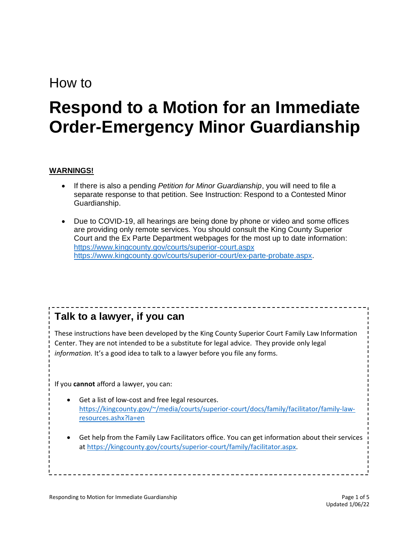## How to

# **Respond to a Motion for an Immediate Order-Emergency Minor Guardianship**

#### **WARNINGS!**

- If there is also a pending *Petition for Minor Guardianship*, you will need to file a separate response to that petition. See Instruction: Respond to a Contested Minor Guardianship.
- Due to COVID-19, all hearings are being done by phone or video and some offices are providing only remote services. You should consult the King County Superior Court and the Ex Parte Department webpages for the most up to date information: <https://www.kingcounty.gov/courts/superior-court.aspx> [https://www.kingcounty.gov/courts/superior-court/ex-parte-probate.aspx.](https://www.kingcounty.gov/courts/superior-court/ex-parte-probate.aspx)

## **Talk to a lawyer, if you can**

These instructions have been developed by the King County Superior Court Family Law Information Center. They are not intended to be a substitute for legal advice. They provide only legal *information.* It's a good idea to talk to a lawyer before you file any forms.

If you **cannot** afford a lawyer, you can:

- Get a list of low-cost and free legal resources. [https://kingcounty.gov/~/media/courts/superior-court/docs/family/facilitator/family-law](https://kingcounty.gov/~/media/courts/superior-court/docs/family/facilitator/family-law-resources.ashx?la=en)[resources.ashx?la=en](https://kingcounty.gov/~/media/courts/superior-court/docs/family/facilitator/family-law-resources.ashx?la=en)
- Get help from the Family Law Facilitators office. You can get information about their services at [https://kingcounty.gov/courts/superior-court/family/facilitator.aspx.](https://kingcounty.gov/courts/superior-court/family/facilitator.aspx)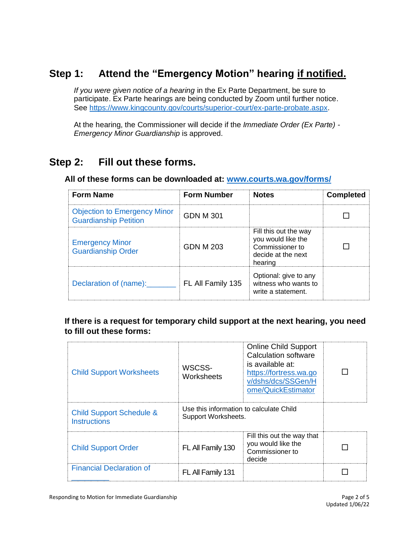## **Step 1: Attend the "Emergency Motion" hearing if notified.**

*If you were given notice of a hearing* in the Ex Parte Department, be sure to participate. Ex Parte hearings are being conducted by Zoom until further notice. See [https://www.kingcounty.gov/courts/superior-court/ex-parte-probate.aspx.](https://www.kingcounty.gov/courts/superior-court/ex-parte-probate.aspx)

At the hearing, the Commissioner will decide if the *Immediate Order (Ex Parte) - Emergency Minor Guardianship* is approved.

## **Step 2: Fill out these forms.**

#### **All of these forms can be downloaded at: [www.courts.wa.gov/forms/](http://www.courts.wa.gov/forms/)**

| <b>Form Name</b>                                                    | <b>Form Number</b> | <b>Notes</b>                                                                                    | Completed |
|---------------------------------------------------------------------|--------------------|-------------------------------------------------------------------------------------------------|-----------|
| <b>Objection to Emergency Minor</b><br><b>Guardianship Petition</b> | GDN M 301          |                                                                                                 |           |
| <b>Emergency Minor</b><br><b>Guardianship Order</b>                 | GDN M 203          | Fill this out the way<br>you would like the<br>Commissioner to<br>decide at the next<br>hearing |           |
| Declaration of (name):                                              | FL All Family 135  | Optional: give to any<br>witness who wants to<br>write a statement.                             |           |

#### **If there is a request for temporary child support at the next hearing, you need to fill out these forms:**

| <b>Child Support Worksheets</b>                            | WSCSS-<br>Worksheets                                           | <b>Online Child Support</b><br>Calculation software<br>is available at:<br>https://fortress.wa.go<br>v/dshs/dcs/SSGen/H<br>ome/QuickEstimator |  |
|------------------------------------------------------------|----------------------------------------------------------------|-----------------------------------------------------------------------------------------------------------------------------------------------|--|
| <b>Child Support Schedule &amp;</b><br><b>Instructions</b> | Use this information to calculate Child<br>Support Worksheets. |                                                                                                                                               |  |
| <b>Child Support Order</b>                                 | FL All Family 130                                              | Fill this out the way that<br>you would like the<br>Commissioner to<br>decide                                                                 |  |
| <b>Financial Declaration of</b>                            | FL All Family 131                                              |                                                                                                                                               |  |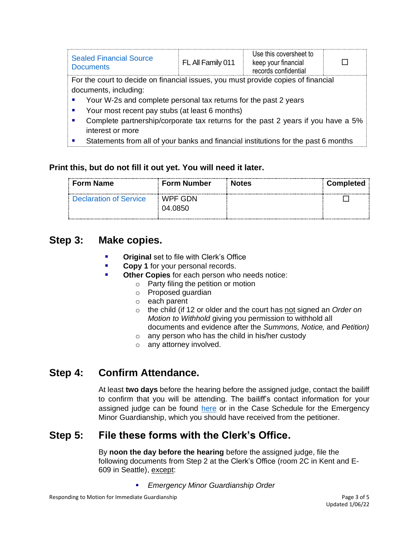| <b>Sealed Financial Source</b><br><b>Documents</b>                                                                               | FL All Family 011 | Use this coversheet to<br>keep your financial<br>records confidential |  |  |
|----------------------------------------------------------------------------------------------------------------------------------|-------------------|-----------------------------------------------------------------------|--|--|
| For the court to decide on financial issues, you must provide copies of financial                                                |                   |                                                                       |  |  |
| documents, including:                                                                                                            |                   |                                                                       |  |  |
| Your W-2s and complete personal tax returns for the past 2 years                                                                 |                   |                                                                       |  |  |
| Your most recent pay stubs (at least 6 months)                                                                                   |                   |                                                                       |  |  |
| Complete partnership/corporate tax returns for the past 2 years if you have a 5%<br>٠                                            |                   |                                                                       |  |  |
| interest or more                                                                                                                 |                   |                                                                       |  |  |
| $\bigcap$ is the contraction of the function behavior of an interface the finite contraction of $\bigcap$ and contract $\bigcap$ |                   |                                                                       |  |  |

 $\vert \bullet \vert$  Statements from all of your banks and financial institutions for the past 6 months

#### **Print this, but do not fill it out yet. You will need it later.**

| <b>Form Name</b>              | ⊧ Form Number               | : Notes | <b>Completed</b> |
|-------------------------------|-----------------------------|---------|------------------|
| <b>Declaration of Service</b> | $\vdots$ WPF GDN<br>04.0850 |         |                  |

## **Step 3: Make copies.**

- **Original** set to file with Clerk's Office
- **Copy 1** for your personal records.
- **Other Copies** for each person who needs notice:
	- o Party filing the petition or motion
	- o Proposed guardian
	- o each parent
	- o the child (if 12 or older and the court has not signed an *Order on Motion to Withhold* giving you permission to withhold all documents and evidence after the *Summons, Notice,* and *Petition)*
	- o any person who has the child in his/her custody
	- o any attorney involved.

## **Step 4: Confirm Attendance.**

At least **two days** before the hearing before the assigned judge, contact the bailiff to confirm that you will be attending. The bailiff's contact information for your assigned judge can be found [here](https://kingcounty.gov/courts/superior-court/directory/judges.aspx) or in the Case Schedule for the Emergency Minor Guardianship, which you should have received from the petitioner.

## **Step 5: File these forms with the Clerk's Office.**

By **noon the day before the hearing** before the assigned judge, file the following documents from Step 2 at the Clerk's Office (room 2C in Kent and E-609 in Seattle), except:

▪ *Emergency Minor Guardianship Order*